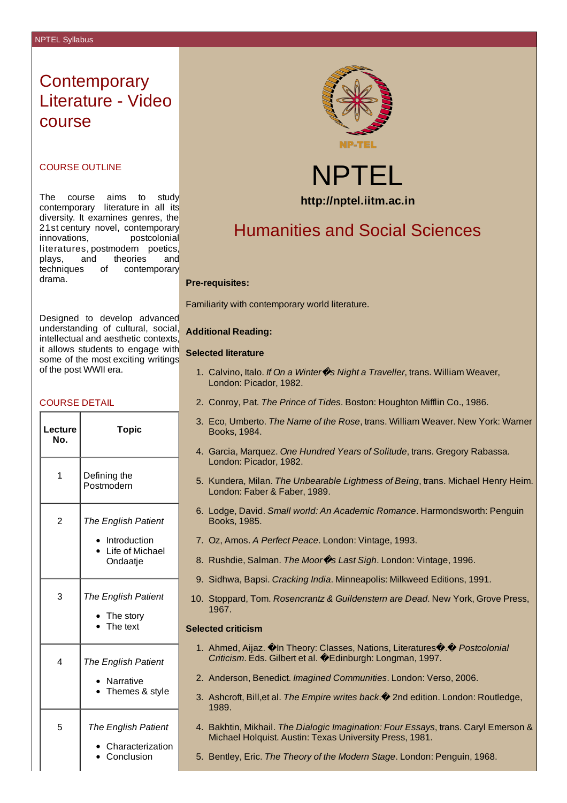# **Contemporary** Literature - Video course

## COURSE OUTLINE

The course aims to study contemporary literature in all its diversity. It examines genres, the 21st century novel, contemporary innovations, postcolonial literatures, postmodern poetics, plays, and theories and techniques of contemporary drama.

Designed to develop advanced understanding of cultural, social, intellectual and aesthetic contexts, it allows students to engage with **Selected literature** some of the most exciting writings of the post WWII era.

## COURSE DETAIL

| Lecture<br>No. | <b>Topic</b>                                                                       |
|----------------|------------------------------------------------------------------------------------|
| $\mathbf{1}$   | Defining the<br>Postmodern                                                         |
| 2              | The English Patient<br>Introduction<br>Life of Michael<br>$\mathbf{r}$<br>Ondaatje |
| 3              | The English Patient<br>The story<br>The text<br>b.                                 |
| 4              | The English Patient<br>Narrative<br>Themes & style                                 |
| 5              | <b>The English Patient</b><br>Characterization<br>Conclusion                       |





# Humanities and Social Sciences

#### **Pre-requisites:**

Familiarity with contemporary world literature.

#### **Additional Reading:**

- 1. Calvino, Italo. *If On a Winter*�*s Night a Traveller*, trans. William Weaver, London: Picador, 1982.
- 2. Conroy, Pat. *The Prince of Tides*. Boston: Houghton Mifflin Co., 1986.
- 3. Eco, Umberto. *The Name of the Rose*, trans. William Weaver. New York: Warner Books, 1984.
- 4. Garcia, Marquez. *One Hundred Years of Solitude*, trans. Gregory Rabassa. London: Picador, 1982.
- 5. Kundera, Milan. *The Unbearable Lightness of Being*, trans. Michael Henry Heim. London: Faber & Faber, 1989.
- 6. Lodge, David. *Small world: An Academic Romance*. Harmondsworth: Penguin Books, 1985.
- 7. Oz, Amos. *A Perfect Peace*. London: Vintage, 1993.
- 8. Rushdie, Salman. *The Moor*�*s Last Sigh*. London: Vintage, 1996.
- 9. Sidhwa, Bapsi. *Cracking India*. Minneapolis: Milkweed Editions, 1991.
- 10. Stoppard, Tom. *Rosencrantz & Guildenstern are Dead*. New York, Grove Press, 1967.

### **Selected criticism**

- 1. Ahmed, Aijaz.  $\hat{\mathbf{Q}}$ In Theory: Classes, Nations, Literatures $\hat{\mathbf{Q}}$ .  $\hat{\mathbf{Q}}$  *Postcolonial Criticism*. Eds. Gilbert et al. �Edinburgh: Longman, 1997.
- 2. Anderson, Benedict. *Imagined Communities*. London: Verso, 2006.
- 3. Ashcroft, Bill,et al. *The Empire writes back*.� 2nd edition. London: Routledge, 1989.
- 4. Bakhtin, Mikhail. *The Dialogic Imagination: Four Essays*, trans. Caryl Emerson & Michael Holquist. Austin: Texas University Press, 1981.
- 5. Bentley, Eric. *The Theory of the Modern Stage*. London: Penguin, 1968.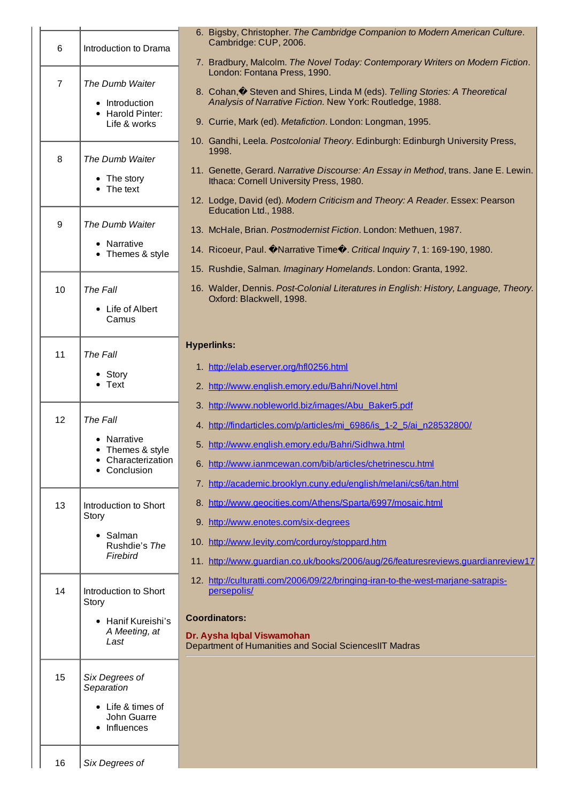|                |                                    | 6. Bigsby, Christopher. The Cambridge Companion to Modern American Culture.                                      |
|----------------|------------------------------------|------------------------------------------------------------------------------------------------------------------|
| 6              | Introduction to Drama              | Cambridge: CUP, 2006.                                                                                            |
|                |                                    | 7. Bradbury, Malcolm. The Novel Today: Contemporary Writers on Modern Fiction.<br>London: Fontana Press, 1990.   |
| $\overline{7}$ | The Dumb Waiter                    | 8. Cohan, Steven and Shires, Linda M (eds). Telling Stories: A Theoretical                                       |
|                | • Introduction<br>• Harold Pinter: | Analysis of Narrative Fiction. New York: Routledge, 1988.                                                        |
|                | Life & works                       | 9. Currie, Mark (ed). Metafiction. London: Longman, 1995.                                                        |
|                |                                    | 10. Gandhi, Leela. Postcolonial Theory. Edinburgh: Edinburgh University Press,<br>1998.                          |
| 8              | The Dumb Waiter                    | 11. Genette, Gerard. Narrative Discourse: An Essay in Method, trans. Jane E. Lewin.                              |
|                | • The story<br>$\bullet$ The text  | Ithaca: Cornell University Press, 1980.                                                                          |
|                |                                    | 12. Lodge, David (ed). Modern Criticism and Theory: A Reader. Essex: Pearson<br>Education Ltd., 1988.            |
| 9              | The Dumb Waiter                    | 13. McHale, Brian. Postmodernist Fiction. London: Methuen, 1987.                                                 |
|                | • Narrative<br>• Themes & style    | 14. Ricoeur, Paul. Marrative Time . Critical Inquiry 7, 1: 169-190, 1980.                                        |
|                |                                    | 15. Rushdie, Salman. Imaginary Homelands. London: Granta, 1992.                                                  |
| 10             | The Fall                           | 16. Walder, Dennis. Post-Colonial Literatures in English: History, Language, Theory.<br>Oxford: Blackwell, 1998. |
|                | • Life of Albert<br>Camus          |                                                                                                                  |
|                |                                    |                                                                                                                  |
| 11             | The Fall                           | <b>Hyperlinks:</b>                                                                                               |
|                | • Story                            | 1. http://elab.eserver.org/hfl0256.html                                                                          |
|                | $\bullet$ Text                     | 2. http://www.english.emory.edu/Bahri/Novel.html                                                                 |
|                |                                    | 3. http://www.nobleworld.biz/images/Abu_Baker5.pdf                                                               |
| 12             | The Fall<br>Narrative              | 4. http://findarticles.com/p/articles/mi_6986/is_1-2_5/ai_n28532800/                                             |
|                | • Themes & style                   | 5. http://www.english.emory.edu/Bahri/Sidhwa.html                                                                |
|                | Characterization<br>Conclusion     | 6. http://www.ianmcewan.com/bib/articles/chetrinescu.html                                                        |
|                |                                    | 7. http://academic.brooklyn.cuny.edu/english/melani/cs6/tan.html                                                 |
| 13             | Introduction to Short<br>Story     | 8. http://www.geocities.com/Athens/Sparta/6997/mosaic.html                                                       |
|                | $\bullet$ Salman                   | 9. http://www.enotes.com/six-degrees                                                                             |
|                | Rushdie's The<br>Firebird          | 10. http://www.levity.com/corduroy/stoppard.htm                                                                  |
|                |                                    | 11. http://www.quardian.co.uk/books/2006/aug/26/featuresreviews.quardianreview17                                 |
| 14             | Introduction to Short<br>Story     | 12. http://culturatti.com/2006/09/22/bringing-iran-to-the-west-marjane-satrapis-<br>persepolis/                  |
|                | • Hanif Kureishi's                 | <b>Coordinators:</b>                                                                                             |
|                | A Meeting, at<br>Last              | Dr. Aysha Iqbal Viswamohan<br>Department of Humanities and Social SciencesIIT Madras                             |
|                |                                    |                                                                                                                  |
| 15             | Six Degrees of<br>Separation       |                                                                                                                  |
|                | • Life & times of                  |                                                                                                                  |
|                | John Guarre<br>• Influences        |                                                                                                                  |
|                |                                    |                                                                                                                  |
| 16             | Six Degrees of                     |                                                                                                                  |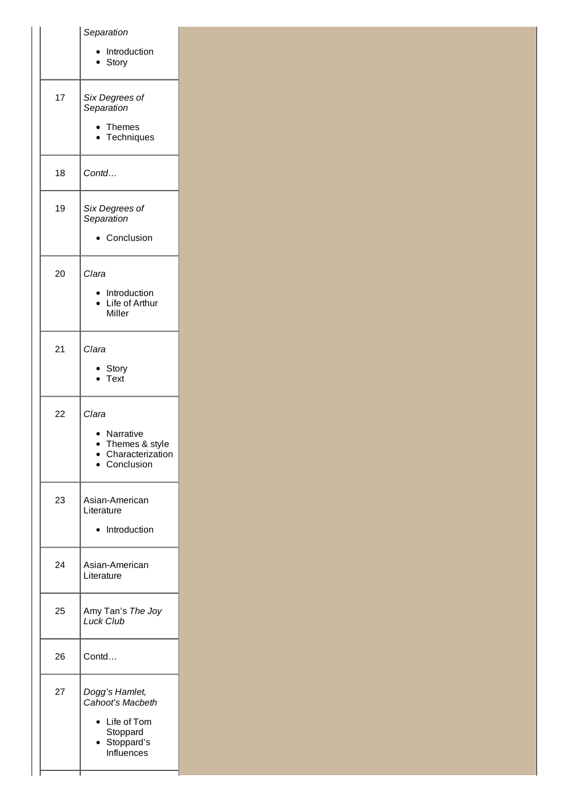|    | Separation<br>Introduction<br>Story                                                       |
|----|-------------------------------------------------------------------------------------------|
| 17 | Six Degrees of<br>Separation<br>Themes<br>Techniques                                      |
| 18 | Contd                                                                                     |
| 19 | Six Degrees of<br>Separation<br>Conclusion                                                |
| 20 | Clara<br>Introduction<br>Life of Arthur<br>Miller                                         |
| 21 | Clara<br>Story<br>Text                                                                    |
| 22 | Clara<br>Narrative<br>Themes & style<br>Characterization<br>Conclusion                    |
| 23 | Asian-American<br>Literature<br>Introduction                                              |
| 24 | Asian-American<br>Literature                                                              |
| 25 | Amy Tan's The Joy<br><b>Luck Club</b>                                                     |
| 26 | Contd                                                                                     |
| 27 | Dogg's Hamlet,<br>Cahoot's Macbeth<br>Life of Tom<br>Stoppard<br>Stoppard's<br>Influences |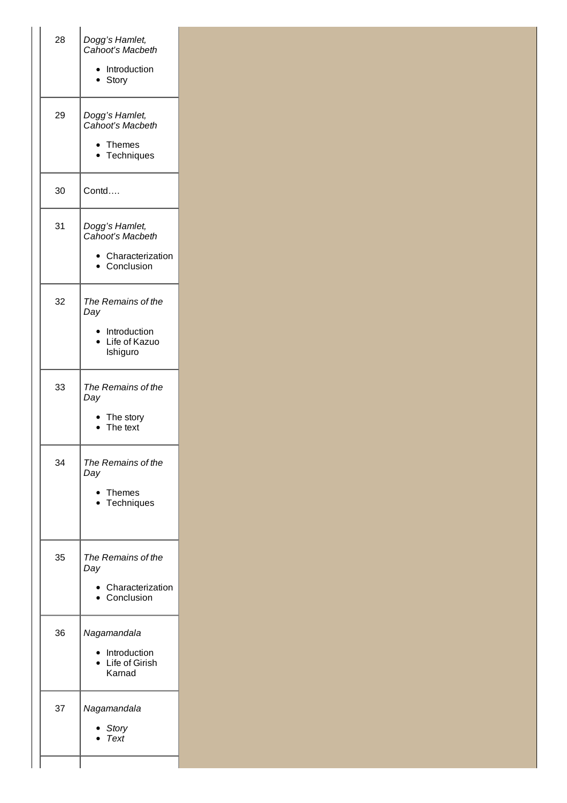| 28 | Dogg's Hamlet,<br>Cahoot's Macbeth<br>Introduction<br>• Story          |
|----|------------------------------------------------------------------------|
| 29 | Dogg's Hamlet,<br>Cahoot's Macbeth<br>$\bullet$ Themes<br>Techniques   |
| 30 | Contd                                                                  |
| 31 | Dogg's Hamlet,<br>Cahoot's Macbeth<br>• Characterization<br>Conclusion |
| 32 | The Remains of the<br>Day<br>Introduction<br>Life of Kazuo<br>Ishiguro |
| 33 | The Remains of the<br>Day<br>• The story<br>$\bullet$ The text         |
| 34 | The Remains of the<br>Day<br>• Themes<br>Techniques                    |
| 35 | The Remains of the<br>Day<br>Characterization<br>Conclusion            |
| 36 | Nagamandala<br>· Introduction<br>Life of Girish<br>Karnad              |
| 37 | Nagamandala<br><b>Story</b><br>Text                                    |
|    |                                                                        |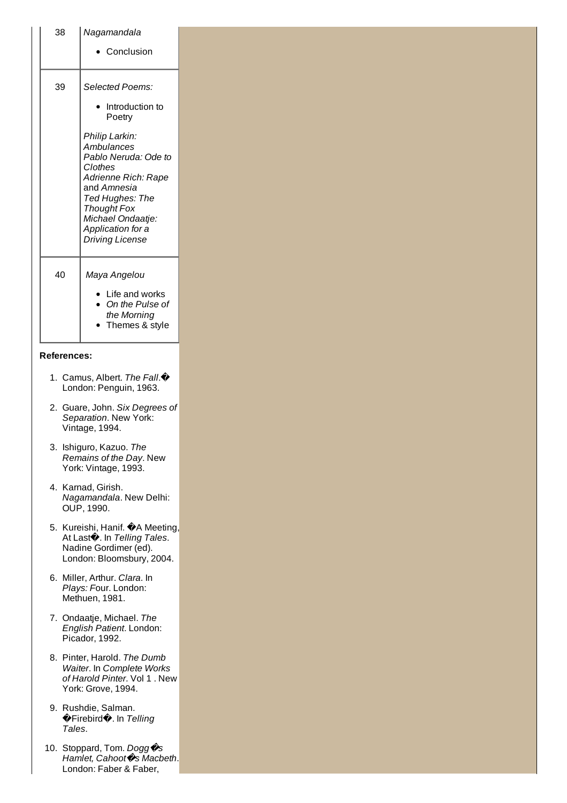| 38                 | Nagamandala                                                                                                                                                                                                        |
|--------------------|--------------------------------------------------------------------------------------------------------------------------------------------------------------------------------------------------------------------|
|                    | • Conclusion                                                                                                                                                                                                       |
|                    |                                                                                                                                                                                                                    |
| 39                 | Selected Poems:                                                                                                                                                                                                    |
|                    | Introduction to<br>٠<br>Poetry                                                                                                                                                                                     |
|                    | Philip Larkin:<br>Ambulances<br>Pablo Neruda: Ode to<br>Clothes<br>Adrienne Rich: Rape<br>and Amnesia<br>Ted Hughes: The<br><b>Thought Fox</b><br>Michael Ondaatje:<br>Application for a<br><b>Driving License</b> |
|                    |                                                                                                                                                                                                                    |
| 40                 | Maya Angelou<br>• Life and works                                                                                                                                                                                   |
|                    | On the Pulse of<br>٠<br>the Morning<br>• Themes & style                                                                                                                                                            |
|                    |                                                                                                                                                                                                                    |
| <b>References:</b> |                                                                                                                                                                                                                    |
|                    | 1. Camus, Albert. The Fall. $\bigcirc$<br>London: Penguin, 1963.                                                                                                                                                   |
|                    | 2. Guare, John. Six Degrees of<br>Separation. New York:<br>Vintage, 1994.                                                                                                                                          |
|                    | 3. Ishiguro, Kazuo. The<br>Remains of the Day. New<br>York: Vintage, 1993.                                                                                                                                         |
|                    | 4. Karnad, Girish.<br>Nagamandala. New Delhi:<br>OUP, 1990.                                                                                                                                                        |
|                    | 5. Kureishi, Hanif. �A Meeting,<br>At Last <sup>2</sup> . In Telling Tales.<br>Nadine Gordimer (ed).<br>London: Bloomsbury, 2004.                                                                                  |
|                    | 6. Miller, Arthur. Clara. In<br>Plays: Four. London:<br>Methuen, 1981.                                                                                                                                             |
|                    | 7. Ondaatje, Michael. The<br>English Patient. London:<br>Picador, 1992.                                                                                                                                            |
|                    | 8. Pinter, Harold. The Dumb<br>Waiter. In Complete Works<br>of Harold Pinter. Vol 1. New<br>York: Grove, 1994.                                                                                                     |
|                    | 9. Rushdie, Salman.<br><b>◆Firebird◆. In Telling</b><br>Tales.                                                                                                                                                     |
|                    | 10. Stoppard, Tom. Dogg $\hat{\mathcal{C}}$ s<br>Hamlet, Cahoot Os Macbeth.<br>London: Faber & Faber,                                                                                                              |